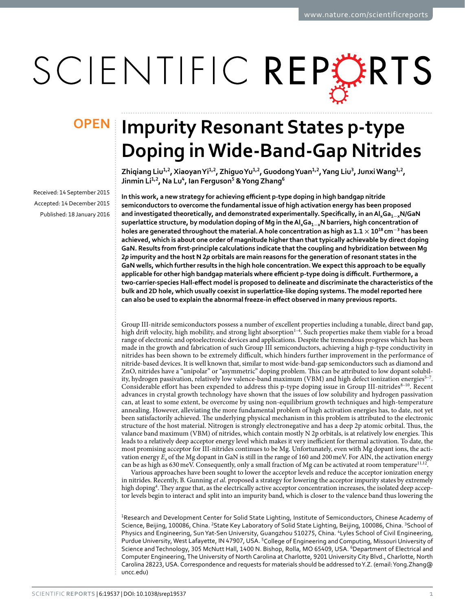# SCIENTIFIC REPORTS

Received: 14 September 2015 accepted: 14 December 2015 Published: 18 January 2016

## **OPEN** Impurity Resonant States p-type **Doping in Wide-Band-Gap Nitrides**

Zhiqiang Liu<sup>1,2</sup>, Xiaoyan Yi<sup>1,2</sup>, Zhiguo Yu<sup>1,2</sup>, Guodong Yuan<sup>1,2</sup>, Yang Liu<sup>3</sup>, Junxi Wang<sup>1,2</sup>, **Jinmin Li<sup>1</sup>,<sup>2</sup>, Na Lu<sup>4</sup>, Ian Ferguson<sup>5</sup> & Yong Zhang<sup>6</sup>**

**In this work, a new strategy for achieving efficient p-type doping in high bandgap nitride semiconductors to overcome the fundamental issue of high activation energy has been proposed and investigated theoretically, and demonstrated experimentally. Specifically, in an AlxGa<sup>1</sup>−xN/GaN superlattice structure, by modulation doping of Mg in the AlxGa<sup>1</sup>−<sup>x</sup>N barriers, high concentration of holes are generated throughout the material. A hole concentration as high as 1.1×1018 cm<sup>−</sup>3 has been achieved, which is about one order of magnitude higher than that typically achievable by direct doping GaN. Results from first-principle calculations indicate that the coupling and hybridization between Mg 2***p* **impurity and the host N 2***p* **orbitals are main reasons for the generation of resonant states in the GaN wells, which further results in the high hole concentration. We expect this approach to be equally applicable for other high bandgap materials where efficient p-type doing is difficult. Furthermore, a two-carrier-species Hall-effect model is proposed to delineate and discriminate the characteristics of the bulk and 2D hole, which usually coexist in superlattice-like doping systems. The model reported here can also be used to explain the abnormal freeze-in effect observed in many previous reports.**

Group III-nitride semiconductors possess a number of excellent properties including a tunable, direct band gap, high drift velocity, high mobility, and strong light absorption<sup>1-4</sup>. Such properties make them viable for a broad range of electronic and optoelectronic devices and applications. Despite the tremendous progress which has been made in the growth and fabrication of such Group III semiconductors, achieving a high p-type conductivity in nitrides has been shown to be extremely difficult, which hinders further improvement in the performance of nitride-based devices. It is well known that, similar to most wide-band-gap semiconductors such as diamond and ZnO, nitrides have a "unipolar" or "asymmetric" doping problem. This can be attributed to low dopant solubility, hydrogen passivation, relatively low valence-band maximum (VBM) and high defect ionization energies<sup>5-7</sup>. Considerable effort has been expended to address this p-type doping issue in Group III-nitrides8-10. Recent advances in crystal growth technology have shown that the issues of low solubility and hydrogen passivation can, at least to some extent, be overcome by using non-equilibrium growth techniques and high-temperature annealing. However, alleviating the more fundamental problem of high activation energies has, to date, not yet been satisfactorily achieved. The underlying physical mechanism in this problem is attributed to the electronic structure of the host material. Nitrogen is strongly electronegative and has a deep 2p atomic orbital. Thus, the valance band maximum (VBM) of nitrides, which contain mostly N 2p orbitals, is at relatively low energies. This leads to a relatively deep acceptor energy level which makes it very inefficient for thermal activation. To date, the most promising acceptor for III-nitrides continues to be Mg. Unfortunately, even with Mg dopant ions, the activation energy *E*a of the Mg dopant in GaN is still in the range of 160 and 200meV. For AlN, the activation energy can be as high as 630 meV. Consequently, only a small fraction of Mg can be activated at room temperature<sup>11[,12](#page-5-4)</sup>.

Various approaches have been sought to lower the acceptor levels and reduce the acceptor ionization energy in nitrides. Recently, B. Gunning *et al.* proposed a strategy for lowering the acceptor impurity states by extremely high doping<sup>4</sup>. They argue that, as the electrically active acceptor concentration increases, the isolated deep acceptor levels begin to interact and split into an impurity band, which is closer to the valence band thus lowering the

<sup>1</sup>Research and Development Center for Solid State Lighting, Institute of Semiconductors, Chinese Academy of Science, Beijing, 100086, China. <sup>2</sup>State Key Laboratory of Solid State Lighting, Beijing, 100086, China. <sup>3</sup>School of Physics and Engineering, Sun Yat-Sen University, Guangzhou 510275, China. <sup>4</sup>Lyles School of Civil Engineering, Purdue University, West Lafayette, IN 47907, USA. <sup>5</sup>College of Engineering and Computing, Missouri University of Science and Technology, 305 McNutt Hall, 1400 N. Bishop, Rolla, MO 65409, USA. <sup>6</sup>Department of Electrical and Computer Engineering, The University of North Carolina at Charlotte, 9201 University City Blvd., Charlotte, North Carolina 28223, USA. Correspondence and requests for materials should be addressed to Y.Z. (email: [Yong.Zhang@](mailto:Yong.Zhang@uncc.edu) [uncc.edu](mailto:Yong.Zhang@uncc.edu))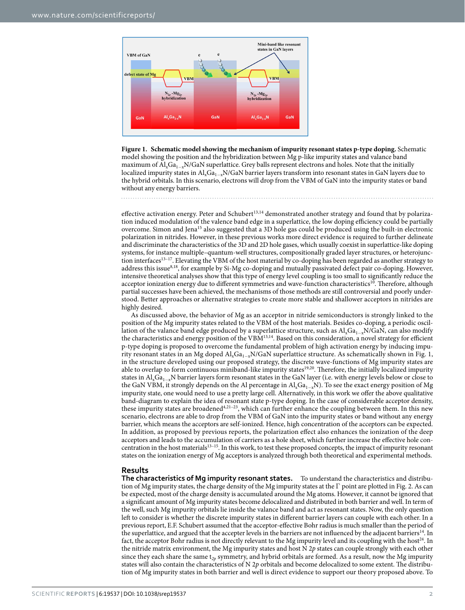

<span id="page-1-0"></span>**Figure 1. Schematic model showing the mechanism of impurity resonant states p-type doping.** Schematic model showing the position and the hybridization between Mg p-like impurity states and valance band maximum of Al<sub>x</sub>Ga<sub>1-x</sub>N/GaN superlattice. Grey balls represent electrons and holes. Note that the initially localized impurity states in Al<sub>x</sub>Ga<sub>1-x</sub>N/GaN barrier layers transform into resonant states in GaN layers due to the hybrid orbitals. In this scenario, electrons will drop from the VBM of GaN into the impurity states or band without any energy barriers.

effective activation energy. Peter and Schubert<sup>[13](#page-5-5),14</sup> demonstrated another strategy and found that by polarization induced modulation of the valence band edge in a superlattice, the low doping efficiency could be partially overcome. Simon and Jena<sup>15</sup> also suggested that a 3D hole gas could be produced using the built-in electronic polarization in nitrides. However, in these previous works more direct evidence is required to further delineate and discriminate the characteristics of the 3D and 2D hole gases, which usually coexist in superlattice-like doping systems, for instance multiple–quantum-well structures, compositionally graded layer structures, or heterojunction interface[s13–17.](#page-5-5) Elevating the VBM of the host material by co-doping has been regarded as another strategy to address this issue[8,](#page-5-2)[18,](#page-5-8) for example by Si-Mg co-doping and mutually passivated defect pair co-doping. However, intensive theoretical analyses show that this type of energy level coupling is too small to significantly reduce the acceptor ionization energy due to different symmetries and wave-function characteristics<sup>10</sup>. Therefore, although partial successes have been achieved, the mechanisms of those methods are still controversial and poorly understood. Better approaches or alternative strategies to create more stable and shallower acceptors in nitrides are highly desired.

As discussed above, the behavior of Mg as an acceptor in nitride semiconductors is strongly linked to the position of the Mg impurity states related to the VBM of the host materials. Besides co-doping, a periodic oscillation of the valance band edge produced by a superlattice structure, such as  $Al_xGa_{1-x}N/GaN$ , can also modify the characteristics and energy position of the VB[M13](#page-5-5)[,14.](#page-5-6) Based on this consideration, a novel strategy for efficient p-type doping is proposed to overcome the fundamental problem of high activation energy by inducing impu-rity resonant states in an Mg doped Al<sub>x</sub>Ga<sub>1-x</sub>N/GaN superlattice structure. As schematically shown in [Fig. 1,](#page-1-0) in the structure developed using our proposed strategy, the discrete wave-functions of Mg impurity states are able to overlap to form continuous miniband-like impurity states<sup>[19](#page-5-10),[20](#page-5-11)</sup>. Therefore, the initially localized impurity able to overlap to form continuous miniband-like impurity states<sup>19,20</sup>. states in  $\text{Al}_x\text{Ga}_{1-x}$ N barrier layers form resonant states in the GaN layer (i.e. with energy levels below or close to the GaN VBM, it strongly depends on the Al percentage in  $Al_xGa_{1-x}N$ ). To see the exact energy position of Mg impurity state, one would need to use a pretty large cell. Alternatively, in this work we offer the above qualitative band-diagram to explain the idea of resonant state p-type doping. In the case of considerable acceptor density, these impurity states are broadened<sup>4,21-23</sup>, which can further enhance the coupling between them. In this new scenario, electrons are able to drop from the VBM of GaN into the impurity states or band without any energy barrier, which means the acceptors are self-ionized. Hence, high concentration of the acceptors can be expected. In addition, as proposed by previous reports, the polarization effect also enhances the ionization of the deep acceptors and leads to the accumulation of carriers as a hole sheet, which further increase the effective hole concentration in the host material[s13–15.](#page-5-5) In this work, to test these proposed concepts, the impact of impurity resonant states on the ionization energy of Mg acceptors is analyzed through both theoretical and experimental methods.

#### **Results**

**The characteristics of Mg impurity resonant states.** To understand the characteristics and distribu-tion of Mg impurity states, the charge density of the Mg impurity states at the Γ point are plotted in [Fig. 2](#page-2-0). As can be expected, most of the charge density is accumulated around the Mg atoms. However, it cannot be ignored that a significant amount of Mg impurity states become delocalized and distributed in both barrier and well. In term of the well, such Mg impurity orbitals lie inside the valance band and act as resonant states. Now, the only question left to consider is whether the discrete impurity states in different barrier layers can couple with each other. In a previous report, E.F. Schubert assumed that the acceptor-effective Bohr radius is much smaller than the period of the superlattice, and argued that the accepter levels in the barriers are not influenced by the adjacent barriers<sup>14</sup>. In fact, the acceptor Bohr radius is not directly relevant to the Mg impurity level and its coupling with the host $24$ . In the nitride matrix environment, the Mg impurity states and host N 2*p* states can couple strongly with each other since they each share the same t*2p* symmetry, and hybrid orbitals are formed. As a result, now the Mg impurity states will also contain the characteristics of N 2*p* orbitals and become delocalized to some extent. The distribution of Mg impurity states in both barrier and well is direct evidence to support our theory proposed above. To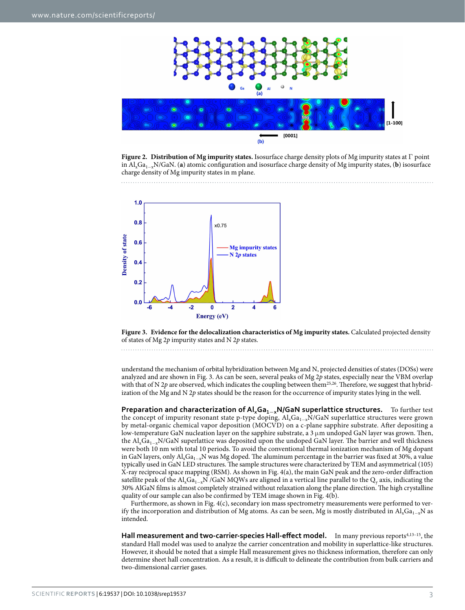

<span id="page-2-0"></span>**Figure 2. Distribution of Mg impurity states.** Isosurface charge density plots of Mg impurity states at Γ point in AlxGa1−xN/GaN. (**a**) atomic configuration and isosurface charge density of Mg impurity states, (**b**) isosurface charge density of Mg impurity states in m plane.



<span id="page-2-1"></span>**Figure 3. Evidence for the delocalization characteristics of Mg impurity states.** Calculated projected density of states of Mg 2*p* impurity states and N 2*p* states.

understand the mechanism of orbital hybridization between Mg and N, projected densities of states (DOSs) were analyzed and are shown in [Fig. 3.](#page-2-1) As can be seen, several peaks of Mg 2*p* states, especially near the VBM overlap with that of N 2p are observed, which indicates the coupling between them<sup>25,26</sup>. Therefore, we suggest that hybridization of the Mg and N 2p states should be the reason for the occurrence of impurity states lying in the well.

**Preparation and characterization of AlxGa<sup>1</sup>−xN/GaN superlattice structures.** To further test the concept of impurity resonant state p-type doping, Al<sub>x</sub>Ga<sub>1−x</sub>N/GaN superlattice structures were grown by metal-organic chemical vapor deposition (MOCVD) on a c-plane sapphire substrate. After depositing a low-temperature GaN nucleation layer on the sapphire substrate, a  $3 \mu$ m undoped GaN layer was grown. Then, the AlxGa1−xN/GaN superlattice was deposited upon the undoped GaN layer. The barrier and well thickness were both 10 nm with total 10 periods. To avoid the conventional thermal ionization mechanism of Mg dopant in GaN layers, only AlxGa1−xN was Mg doped. The aluminum percentage in the barrier was fixed at 30%, a value typically used in GaN LED structures. The sample structures were characterized by TEM and asymmetrical (105) X-ray reciprocal space mapping (RSM). As shown in [Fig. 4\(a\)](#page-3-0), the main GaN peak and the zero-order diffraction satellite peak of the Al<sub>x</sub>Ga<sub>1−x</sub>N /GaN MQWs are aligned in a vertical line parallel to the Q<sub>y</sub> axis, indicating the 30% AlGaN films is almost completely strained without relaxation along the plane direction. The high crystalline quality of our sample can also be confirmed by TEM image shown in [Fig. 4\(b\)](#page-3-0).

Furthermore, as shown in [Fig. 4\(c\),](#page-3-0) secondary ion mass spectrometry measurements were performed to verify the incorporation and distribution of Mg atoms. As can be seen, Mg is mostly distributed in  $Al_xGa_{1-x}N$  as intended.

**Hall measurement and two-carrier-species Hall-effect model.** In many previous report[s4](#page-5-16),[13–15](#page-5-5), the standard Hall model was used to analyze the carrier concentration and mobility in superlattice-like structures. However, it should be noted that a simple Hall measurement gives no thickness information, therefore can only determine sheet hall concentration. As a result, it is difficult to delineate the contribution from bulk carriers and two-dimensional carrier gases.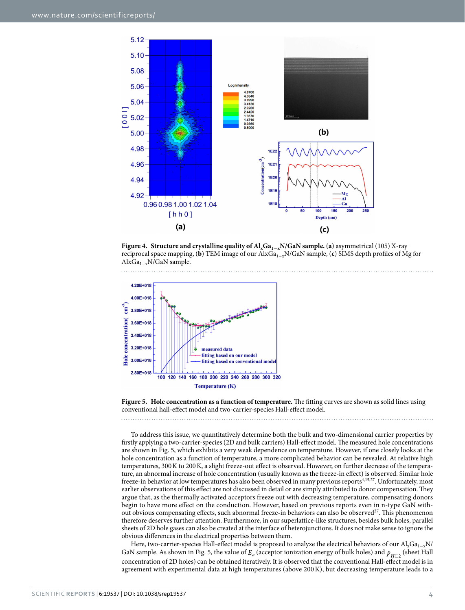

<span id="page-3-0"></span>**Figure 4. Structure and crystalline quality of Al<sub>x</sub>Ga<sub>1</sub><sub>−</sub><b>x**N/GaN sample. (a) asymmetrical (105) X-ray reciprocal space mapping, (**b**) TEM image of our AlxGa<sub>1-x</sub>N/GaN sample, (**c**) SIMS depth profiles of Mg for AlxGa<sub>1−x</sub>N/GaN sample.



<span id="page-3-1"></span>**Figure 5. Hole concentration as a function of temperature.** The fitting curves are shown as solid lines using conventional hall-effect model and two-carrier-species Hall-effect model.

To address this issue, we quantitatively determine both the bulk and two-dimensional carrier properties by firstly applying a two-carrier-species (2D and bulk carriers) Hall-effect model. The measured hole concentrations are shown in [Fig. 5](#page-3-1), which exhibits a very weak dependence on temperature. However, if one closely looks at the hole concentration as a function of temperature, a more complicated behavior can be revealed. At relative high temperatures, 300K to 200K, a slight freeze-out effect is observed. However, on further decrease of the temperature, an abnormal increase of hole concentration (usually known as the freeze-in effect) is observed. Similar hole freeze-in behavior at low temperatures has also been observed in many previous reports<sup>4,[15](#page-5-7),27</sup>. Unfortunately, most earlier observations of this effect are not discussed in detail or are simply attributed to donor compensation. They argue that, as the thermally activated acceptors freeze out with decreasing temperature, compensating donors begin to have more effect on the conduction. However, based on previous reports even in n-type GaN without obvious compensating effects, such abnormal freeze-in behaviors can also be observed<sup>27</sup>. This phenomenon therefore deserves further attention. Furthermore, in our superlattice-like structures, besides bulk holes, parallel sheets of 2D hole gases can also be created at the interface of heterojunctions. It does not make sense to ignore the obvious differences in the electrical properties between them.

Here, two-carrier-species Hall-effect model is proposed to analyze the electrical behaviors of our  $AI_xGa_{1-x}N/$ GaN sample. As shown in [Fig. 5](#page-3-1), the value of  $E_a$  (acceptor ionization energy of bulk holes) and  $p_{H \Box 2}^{}$  (sheet Hall concentration of 2D holes) can be obtained iteratively. It is observed that the conventional Hall-effect model is in agreement with experimental data at high temperatures (above 200K), but decreasing temperature leads to a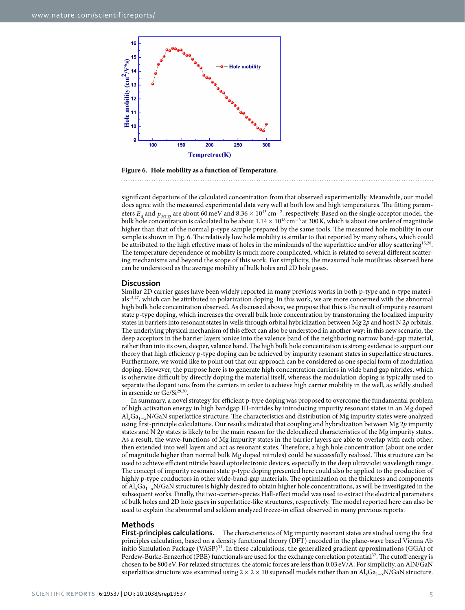

<span id="page-4-0"></span>**Figure 6. Hole mobility as a function of Temperature.** 

significant departure of the calculated concentration from that observed experimentally. Meanwhile, our model does agree with the measured experimental data very well at both low and high temperatures. The fitting parameters  $E_a$  and  $p_{H\Box 2}$  are about 60 meV and 8.36  $\times$  10<sup>13</sup> cm<sup>-2</sup>, respectively. Based on the single acceptor model, the bulk hole concentration is calculated to be about  $1.14 \times 10^{18}$  cm<sup>-3</sup> at 300 K, which is about one order of magnitude higher than that of the normal p-type sample prepared by the same tools. The measured hole mobility in our sample is shown in [Fig. 6.](#page-4-0) The relatively low hole mobility is similar to that reported by many others, which could be attributed to the high effective mass of holes in the minibands of the superlattice and/or alloy scattering<sup>[15,](#page-5-7)28</sup>. The temperature dependence of mobility is much more complicated, which is related to several different scattering mechanisms and beyond the scope of this work. For simplicity, the measured hole motilities observed here can be understood as the average mobility of bulk holes and 2D hole gases.

#### **Discussion**

Similar 2D carrier gases have been widely reported in many previous works in both p-type and n-type materials<sup>13,27</sup>, which can be attributed to polarization doping. In this work, we are more concerned with the abnormal high bulk hole concentration observed. As discussed above, we propose that this is the result of impurity resonant state p-type doping, which increases the overall bulk hole concentration by transforming the localized impurity states in barriers into resonant states in wells through orbital hybridization between Mg 2*p* and host N 2*p* orbitals. The underlying physical mechanism of this effect can also be understood in another way: in this new scenario, the deep acceptors in the barrier layers ionize into the valence band of the neighboring narrow band-gap material, rather than into its own, deeper, valance band. The high bulk hole concentration is strong evidence to support our theory that high efficiency p-type doping can be achieved by impurity resonant states in superlattice structures. Furthermore, we would like to point out that our approach can be considered as one special form of modulation doping. However, the purpose here is to generate high concentration carriers in wide band gap nitrides, which is otherwise difficult by directly doping the material itself, whereas the modulation doping is typically used to separate the dopant ions from the carriers in order to achieve high carrier mobility in the well, as wildly studied in arsenide or Ge/Si[29](#page-6-1)[,30](#page-6-2).

In summary, a novel strategy for efficient p-type doping was proposed to overcome the fundamental problem of high activation energy in high bandgap III-nitrides by introducing impurity resonant states in an Mg doped AlxGa1−xN/GaN superlattice structure. The characteristics and distribution of Mg impurity states were analyzed using first-principle calculations. Our results indicated that coupling and hybridization between Mg 2*p* impurity states and N 2*p* states is likely to be the main reason for the delocalized characteristics of the Mg impurity states. As a result, the wave-functions of Mg impurity states in the barrier layers are able to overlap with each other, then extended into well layers and act as resonant states. Therefore, a high hole concentration (about one order of magnitude higher than normal bulk Mg doped nitrides) could be successfully realized. This structure can be used to achieve efficient nitride based optoelectronic devices, especially in the deep ultraviolet wavelength range. The concept of impurity resonant state p-type doping presented here could also be applied to the production of highly p-type conductors in other wide-band-gap materials. The optimization on the thickness and components of Al<sub>x</sub>Ga<sub>1-x</sub>N/GaN structures is highly desired to obtain higher hole concentrations, as will be investigated in the subsequent works. Finally, the two-carrier-species Hall-effect model was used to extract the electrical parameters of bulk holes and 2D hole gases in superlattice-like structures, respectively. The model reported here can also be used to explain the abnormal and seldom analyzed freeze-in effect observed in many previous reports.

#### **Methods**

**First-principles calculations.** The characteristics of Mg impurity resonant states are studied using the first principles calculation, based on a density functional theory (DFT) encoded in the plane-wave based Vienna Ab initio Simulation Package (VASP)<sup>31</sup>. In these calculations, the generalized gradient approximations (GGA) of Perdew-Burke-Ernzerhof (PBE) functionals are used for the exchange correlation potentia[l32.](#page-6-4) The cutoff energy is chosen to be 800 eV. For relaxed structures, the atomic forces are less than 0.03 eV/A. For simplicity, an AlN/GaN superlattice structure was examined using  $2 \times 2 \times 10$  supercell models rather than an Al<sub>x</sub>Ga<sub>1−x</sub>N/GaN structure.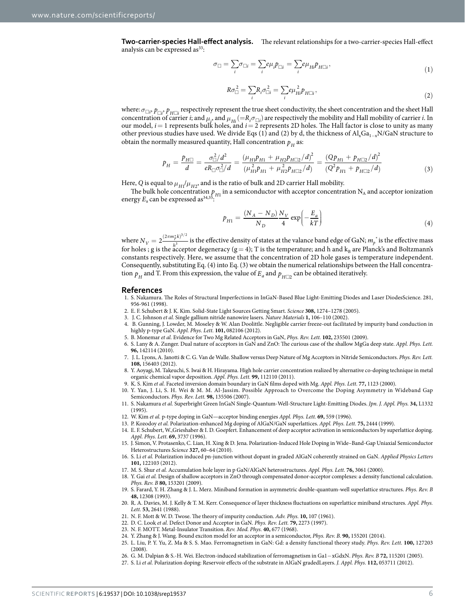**Two-carrier-species Hall-effect analysis.** The relevant relationships for a two-carrier-species Hall-effect analysis can be expressed as<sup>33</sup>:

$$
\sigma_{\Box} = \sum_{i} \sigma_{\Box i} = \sum_{i} e\mu_{i} p_{\Box i} = \sum_{i} e\mu_{Hi} p_{H\Box i}, \qquad (1)
$$

$$
R\sigma_{\square}^2 = \sum_i R_i \sigma_{\square i}^2 = \sum_i e\mu_{Hi}^2 p_{H\square i}, \qquad (2)
$$

where:  $\sigma_{\Box i}$ ,  $p_{\Box i}$  respectively represent the true sheet conductivity, the sheet concentration and the sheet Hall concentration of carrier *i*; and  $\mu_i$ , and  $\mu_{Hi} (= R_i \sigma_{\Box i})$  are respectively the mobility and Hall mobility of carrier *i*. In our model,  $i = 1$  represents bulk holes, and  $i = 2$  represents 2D holes. The Hall factor is close to unity as many other previous studies have used. We divide Eqs (1) and (2) by d, the thickness of  $Al_xGa_{1-x}N/GaN$  structure to obtain the normally measured quantity, Hall concentration  $p_\mu$  as:

$$
p_{H} = \frac{p_{H\Box}}{d} = \frac{\sigma_{\Box}^{2}/d^{2}}{eR_{\Box}\sigma_{\Box}^{2}/d} = \frac{(\mu_{H1}p_{H1} + \mu_{H2}p_{H\Box2}/d)^{2}}{(\mu_{H1}^{2}p_{H1} + \mu_{H2}^{2}p_{H\Box2}/d)} = \frac{(Qp_{H1} + p_{H\Box2}/d)^{2}}{(Q^{2}p_{H1} + p_{H\Box2}/d)}
$$
(3)

Here, *Q* is equal to  $\mu_{H1}/\mu_{H2}$ , and is the ratio of bulk and 2D carrier Hall mobility.

The bulk hole concentration  $p_{H1}$  in a semiconductor with acceptor concentration N<sub>A</sub> and acceptor ionization energy  $E_a$  can be expressed as<sup>34,35</sup>:

$$
p_{H1} = \frac{(N_A - N_D) N_V}{N_D} \exp\left(-\frac{E_a}{kT}\right) \tag{4}
$$

where  $N_V = 2 \frac{(2 \pi m_p^* k)^{3/2}}{h^3}$  is the effective density of states at the valance band edge of GaN;  $m_p^*$  is the effective mass for holes; g is the acceptor degeneracy (g = 4); T is the temperature; and h and  $k_B$  are Planck's and Boltzmann's constants respectively. Here, we assume that the concentration of 2D hole gases is temperature independent. Consequently, substituting Eq. (4) into Eq. (3) we obtain the numerical relationships between the Hall concentration  $p_H^{}$  and T. From this expression, the value of  $E_a^{}$  and  $p_{H \square 2}^{}$  can be obtained iteratively.

#### **References**

- <span id="page-5-0"></span>1. S. Nakamura. The Roles of Structural Imperfections in InGaN-Based Blue Light-Emitting Diodes and Laser DiodesScience. 281, 956-961 (1998).
- 2. E. F. Schubert & J. K. Kim. Solid-State Light Sources Getting Smart. *Science* **308,** 1274–1278 (2005).
- 3. J. C. Johnson *et al.* Single gallium nitride nanowire lasers. *Nature Materials* **1,** 106–110 (2002).
- <span id="page-5-16"></span>4. B. Gunning, J. Lowder, M. Moseley & W. Alan Doolittle. Negligible carrier freeze-out facilitated by impurity band conduction in highly p-type GaN. *Appl. Phys. Lett.* **101,** 082106 (2012).
- <span id="page-5-1"></span>5. B. Monemar *et al.* Evidence for Two Mg Related Acceptors in GaN, *Phys. Rev. Lett.* **102,** 235501 (2009).
- 6. S. Lany & A. Zunger. Dual nature of acceptors in GaN and ZnO: The curious case of the shallow MgGa deep state. *Appl. Phys. Lett.* **96,** 142114 (2010).
- 7. J. L. Lyons, A. Janotti & C. G. Van de Walle. Shallow versus Deep Nature of Mg Acceptors in Nitride Semiconductors. *Phys. Rev. Lett.* **108,** 156403 (2012).
- <span id="page-5-2"></span>8. Y. Aoyagi, M. Takeuchi, S. Iwai & H. Hirayama. High hole carrier concentration realized by alternative co-doping technique in metal organic chemical vapor deposition. *Appl. Phys. Lett.* **99,** 112110 (2011).
- <span id="page-5-9"></span>9. K. S. Kim *et al.* Faceted inversion domain boundary in GaN films doped with Mg. *Appl. Phys. Lett.* **77,** 1123 (2000).
- 10. Y. Yan, J. Li, S. H. Wei & M. M. Al-Jassim. Possible Approach to Overcome the Doping Asymmetry in Wideband Gap Semiconductors. *Phys. Rev. Lett.* **98,** 135506 (2007).
- <span id="page-5-3"></span>11. S. Nakamura *et al.* Superbright Green InGaN Single-Quantum-Well-Structure Light-Emitting Diodes. *Jpn. J. Appl. Phys.* **34,** L1332  $(1995)$
- <span id="page-5-4"></span>12. W. Kim *et al.* p-type doping in GaN—acceptor binding energies *Appl. Phys. Lett.* **69,** 559 (1996).
- <span id="page-5-6"></span><span id="page-5-5"></span>13. P. Kozodoy *et al.* Polarization-enhanced Mg doping of AlGaN/GaN superlattices. *Appl. Phys. Lett.* **75,** 2444 (1999).
- 14. E. F. Schubert, W.,Grieshaber & I. D. Goepfert. Enhancement of deep acceptor activation in semiconductors by superlattice doping. *Appl. Phys. Lett*. **69,** 3737 (1996).
- <span id="page-5-7"></span>15. J. Simon, V. Protasenko, C. Lian, H. Xing & D. Jena. Polarization-Induced Hole Doping in Wide–Band-Gap Uniaxial Semiconductor Heterostructures *Science* **327,** 60–64 (2010).
- 16. S. Li *et al.* Polarization induced pn-junction without dopant in graded AlGaN coherently strained on GaN. *Applied Physics Letters* **101,** 122103 (2012).
- <span id="page-5-8"></span>17. M. S. Shur *et al.* Accumulation hole layer in p GaN/AlGaN heterostructures. *Appl. Phys. Lett.* **76,** 3061 (2000).
- 18. Y. Gai *et al.* Design of shallow acceptors in ZnO through compensated donor-acceptor complexes: a density functional calculation. *Phys. Rev. B* **80,** 153201 (2009).
- <span id="page-5-10"></span>19. S. Farard, Y. H. Zhang & J. L. Merz. Miniband formation in asymmetric double-quantum-well superlattice structures. *Phys. Rev. B* **48,** 12308 (1993).
- <span id="page-5-11"></span>20. R. A. Davies, M. J. Kelly & T. M. Kerr. Consequence of layer thickness fluctuations on superlattice miniband structures. *Appl. Phys. Lett.* **53,** 2641 (1988).
- <span id="page-5-12"></span>21. N. F. Mott & W. D. Twose. The theory of impurity conduction. *Adv. Phys.* **10,** 107 (1961).
- 22. D. C. Look *et al.* Defect Donor and Acceptor in GaN. *Phys. Rev. Lett.* **79,** 2273 (1997).
- 23. N. F. MOTT. Metal-Insulator Transition. *Rev. Mod. Phys.* **40,** 677 (1968).
- <span id="page-5-13"></span>24. Y. Zhang & J. Wang. Bound exciton model for an acceptor in a semiconductor, *Phys. Rev. B.* **90,** 155201 (2014).
- <span id="page-5-17"></span><span id="page-5-15"></span><span id="page-5-14"></span>25. L. Liu, P. Y. Yu, Z. Ma & S. S. Mao. Ferromagnetism in GaN: Gd: a density functional theory study. *Phys. Rev. Lett.* **100,** 127203  $(2008)$
- 26. G. M. Dalpian & S.-H. Wei. Electron-induced stabilization of ferromagnetism in Ga1−xGdxN. *Phys. Rev. B* **72,** 115201 (2005).
	- 27. S. Li *et al.* Polarization doping: Reservoir effects of the substrate in AlGaN gradedLayers. *J. Appl. Phys.* **112,** 053711 (2012).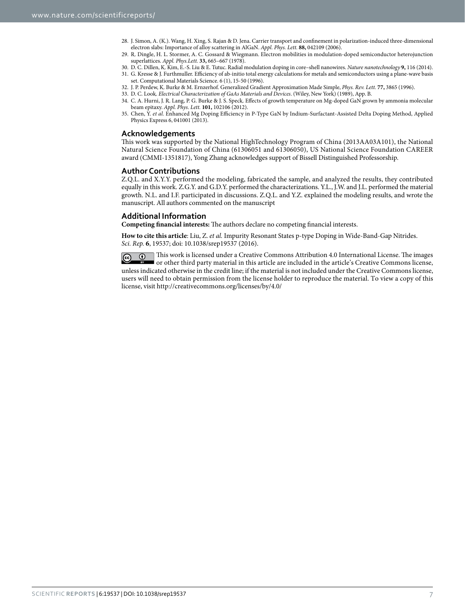- <span id="page-6-0"></span>28. J. Simon, A. (K.). Wang, H. Xing, S. Rajan & D. Jena. Carrier transport and confinement in polarization-induced three-dimensional electron slabs: Importance of alloy scattering in AlGaN. *Appl. Phys. Lett.* **88,** 042109 (2006).
- <span id="page-6-1"></span>29. R. Dingle, H. L. Stormer, A. C. Gossard & Wiegmann. Electron mobilities in modulation-doped semiconductor heterojunction superlattices. *Appl. Phys.Lett.* **33,** 665–667 (1978).
- <span id="page-6-2"></span>30. D. C. Dillen, K. Kim, E.-S. Liu & E. Tutuc. Radial modulation doping in core–shell nanowires. *Nature nanotechnology* **9,** 116 (2014).
- <span id="page-6-3"></span>31. G. Kresse & J. Furthmuller. Efficiency of ab-initio total energy calculations for metals and semiconductors using a plane-wave basis set. Computational Materials Science. 6 (1), 15-50 (1996).
- 32. J. P. Perdew, K. Burke & M. Ernzerhof. Generalized Gradient Approximation Made Simple, *Phys. Rev. Lett.* **77,** 3865 (1996).
- <span id="page-6-5"></span><span id="page-6-4"></span>33. D. C. Look. *Electrical Characterization of GaAs Materials and Devices*. (Wiley, New York) (1989), App. B.
- <span id="page-6-6"></span>34. C. A. Hurni, J. R. Lang, P. G. Burke & J. S. Speck. Effects of growth temperature on Mg-doped GaN grown by ammonia molecular beam epitaxy. *Appl. Phys. Lett.* **101,** 102106 (2012).
- <span id="page-6-7"></span>35. Chen, Y. *et al.* Enhanced Mg Doping Efficiency in P-Type GaN by Indium-Surfactant-Assisted Delta Doping Method, Applied Physics Express 6, 041001 (2013).

#### **Acknowledgements**

This work was supported by the National HighTechnology Program of China (2013AA03A101), the National Natural Science Foundation of China (61306051 and 61306050), US National Science Foundation CAREER award (CMMI-1351817), Yong Zhang acknowledges support of Bissell Distinguished Professorship.

#### **Author Contributions**

Z.Q.L. and X.Y.Y. performed the modeling, fabricated the sample, and analyzed the results, they contributed equally in this work. Z.G.Y. and G.D.Y. performed the characterizations. Y.L., J.W. and J.L. performed the material growth. N.L. and I.F. participated in discussions. Z.Q.L. and Y.Z. explained the modeling results, and wrote the manuscript. All authors commented on the manuscript

### **Additional Information**

**Competing financial interests:** The authors declare no competing financial interests.

**How to cite this article**: Liu, Z. *et al.* Impurity Resonant States p-type Doping in Wide-Band-Gap Nitrides. *Sci. Rep.* **6**, 19537; doi: 10.1038/srep19537 (2016).

This work is licensed under a Creative Commons Attribution 4.0 International License. The images  $\odot$ or other third party material in this article are included in the article's Creative Commons license, unless indicated otherwise in the credit line; if the material is not included under the Creative Commons license, users will need to obtain permission from the license holder to reproduce the material. To view a copy of this license, visit <http://creativecommons.org/licenses/by/4.0/>